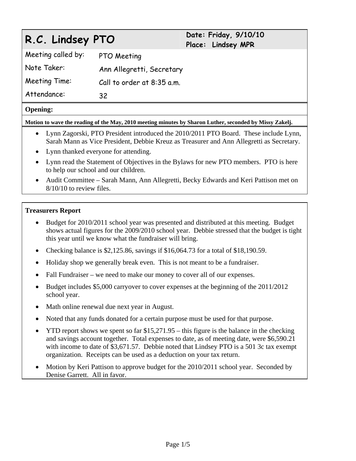# **R.C. Lindsey PTO Date: Friday, 9/10/10**

**Place: Lindsey MPR** 

Meeting called by: PTO Meeting Note Taker: Ann Allegretti, Secretary Meeting Time: Call to order at 8:35 a.m. Attendance: 32

# **Opening:**

**Motion to wave the reading of the May, 2010 meeting minutes by Sharon Luther, seconded by Missy Zakelj.** 

- Lynn Zagorski, PTO President introduced the 2010/2011 PTO Board. These include Lynn, Sarah Mann as Vice President, Debbie Kreuz as Treasurer and Ann Allegretti as Secretary.
- Lynn thanked everyone for attending.
- Lynn read the Statement of Objectives in the Bylaws for new PTO members. PTO is here to help our school and our children.
- Audit Committee Sarah Mann, Ann Allegretti, Becky Edwards and Keri Pattison met on 8/10/10 to review files.

# **Treasurers Report**

- Budget for 2010/2011 school year was presented and distributed at this meeting. Budget shows actual figures for the 2009/2010 school year. Debbie stressed that the budget is tight this year until we know what the fundraiser will bring.
- Checking balance is \$2,125.86, savings if \$16,064.73 for a total of \$18,190.59.
- Holiday shop we generally break even. This is not meant to be a fundraiser.
- Fall Fundraiser we need to make our money to cover all of our expenses.
- Budget includes \$5,000 carryover to cover expenses at the beginning of the 2011/2012 school year.
- Math online renewal due next year in August.
- Noted that any funds donated for a certain purpose must be used for that purpose.
- YTD report shows we spent so far  $$15,271.95 this figure is the balance in the checking$ and savings account together. Total expenses to date, as of meeting date, were \$6,590.21 with income to date of \$3,671.57. Debbie noted that Lindsey PTO is a 501 3c tax exempt organization. Receipts can be used as a deduction on your tax return.
- Motion by Keri Pattison to approve budget for the 2010/2011 school year. Seconded by Denise Garrett. All in favor.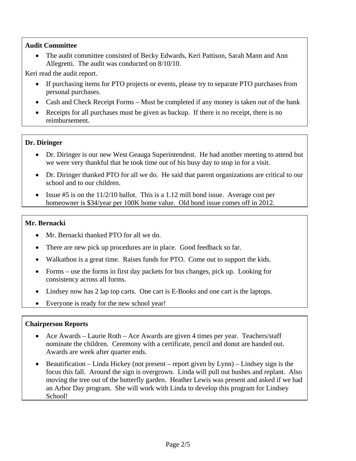# **Audit Committee**

• The audit committee consisted of Becky Edwards, Keri Pattison, Sarah Mann and Ann Allegretti. The audit was conducted on 8/10/10.

Keri read the audit report.

- If purchasing items for PTO projects or events, please try to separate PTO purchases from personal purchases.
- Cash and Check Receipt Forms Must be completed if any money is taken out of the bank
- Receipts for all purchases must be given as backup. If there is no receipt, there is no reimbursement.

# **Dr. Diringer**

- Dr. Diringer is our new West Geauga Superintendent. He had another meeting to attend but we were very thankful that he took time out of his busy day to stop in for a visit.
- Dr. Diringer thanked PTO for all we do. He said that parent organizations are critical to our school and to our children.
- Issue #5 is on the  $11/2/10$  ballot. This is a 1.12 mill bond issue. Average cost per homeowner is \$34/year per 100K home value. Old bond issue comes off in 2012.

# **Mr. Bernacki**

- Mr. Bernacki thanked PTO for all we do.
- There are new pick up procedures are in place. Good feedback so far.
- Walkathon is a great time. Raises funds for PTO. Come out to support the kids.
- Forms use the forms in first day packets for bus changes, pick up. Looking for consistency across all forms.
- Lindsey now has 2 lap top carts. One cart is E-Books and one cart is the laptops.
- Everyone is ready for the new school year!

#### **Chairperson Reports**

- Ace Awards Laurie Roth Ace Awards are given 4 times per year. Teachers/staff nominate the children. Ceremony with a certificate, pencil and donut are handed out. Awards are week after quarter ends.
- Beautification Linda Hickey (not present report given by Lynn) Lindsey sign is the focus this fall. Around the sign is overgrown. Linda will pull out bushes and replant. Also moving the tree out of the butterfly garden. Heather Lewis was present and asked if we had an Arbor Day program. She will work with Linda to develop this program for Lindsey School!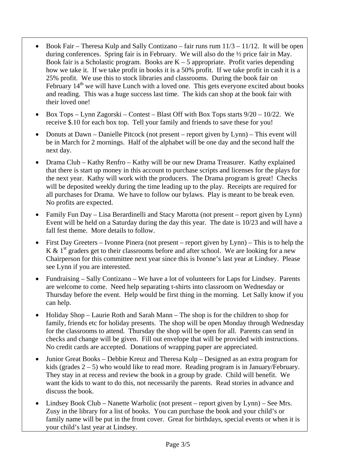- $\bullet$  Book Fair Theresa Kulp and Sally Contizano fair runs rum  $11/3 11/12$ . It will be open during conferences. Spring fair is in February. We will also do the ½ price fair in May. Book fair is a Scholastic program. Books are  $K - 5$  appropriate. Profit varies depending how we take it. If we take profit in books it is a 50% profit. If we take profit in cash it is a 25% profit. We use this to stock libraries and classrooms. During the book fair on February  $14<sup>th</sup>$  we will have Lunch with a loved one. This gets everyone excited about books and reading. This was a huge success last time. The kids can shop at the book fair with their loved one!
- $\bullet$  Box Tops Lynn Zagorski Contest Blast Off with Box Tops starts  $9/20 10/22$ . We receive \$.10 for each box top. Tell your family and friends to save these for you!
- Donuts at Dawn Danielle Pitcock (not present report given by Lynn) This event will be in March for 2 mornings. Half of the alphabet will be one day and the second half the next day.
- Drama Club Kathy Renfro Kathy will be our new Drama Treasurer. Kathy explained that there is start up money in this account to purchase scripts and licenses for the plays for the next year. Kathy will work with the producers. The Drama program is great! Checks will be deposited weekly during the time leading up to the play. Receipts are required for all purchases for Drama. We have to follow our bylaws. Play is meant to be break even. No profits are expected.
- Family Fun Day Lisa Berardinelli and Stacy Marotta (not present report given by Lynn) Event will be held on a Saturday during the day this year. The date is 10/23 and will have a fall fest theme. More details to follow.
- First Day Greeters Ivonne Pinera (not present report given by Lynn) This is to help the K  $\&$  1<sup>st</sup> graders get to their classrooms before and after school. We are looking for a new Chairperson for this committee next year since this is Ivonne's last year at Lindsey. Please see Lynn if you are interested.
- Fundraising Sally Contizano We have a lot of volunteers for Laps for Lindsey. Parents are welcome to come. Need help separating t-shirts into classroom on Wednesday or Thursday before the event. Help would be first thing in the morning. Let Sally know if you can help.
- Holiday Shop Laurie Roth and Sarah Mann The shop is for the children to shop for family, friends etc for holiday presents. The shop will be open Monday through Wednesday for the classrooms to attend. Thursday the shop will be open for all. Parents can send in checks and change will be given. Fill out envelope that will be provided with instructions. No credit cards are accepted. Donations of wrapping paper are appreciated.
- Junior Great Books Debbie Kreuz and Theresa Kulp Designed as an extra program for kids (grades  $2 - 5$ ) who would like to read more. Reading program is in January/February. They stay in at recess and review the book in a group by grade. Child will benefit. We want the kids to want to do this, not necessarily the parents. Read stories in advance and discuss the book.
- Lindsey Book Club Nanette Warholic (not present report given by Lynn) See Mrs. Zusy in the library for a list of books. You can purchase the book and your child's or family name will be put in the front cover. Great for birthdays, special events or when it is your child's last year at Lindsey.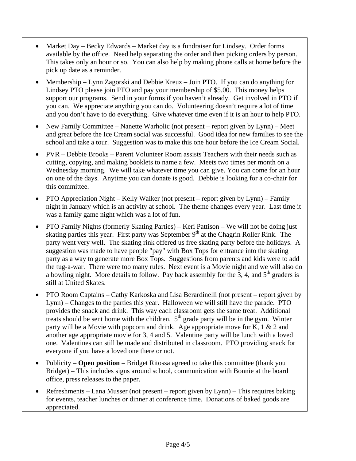- Market Day Becky Edwards Market day is a fundraiser for Lindsey. Order forms available by the office. Need help separating the order and then picking orders by person. This takes only an hour or so. You can also help by making phone calls at home before the pick up date as a reminder.
- Membership Lynn Zagorski and Debbie Kreuz Join PTO. If you can do anything for Lindsey PTO please join PTO and pay your membership of \$5.00. This money helps support our programs. Send in your forms if you haven't already. Get involved in PTO if you can. We appreciate anything you can do. Volunteering doesn't require a lot of time and you don't have to do everything. Give whatever time even if it is an hour to help PTO.
- New Family Committee Nanette Warholic (not present report given by Lynn) Meet and great before the Ice Cream social was successful. Good idea for new families to see the school and take a tour. Suggestion was to make this one hour before the Ice Cream Social.
- PVR Debbie Brooks Parent Volunteer Room assists Teachers with their needs such as cutting, copying, and making booklets to name a few. Meets two times per month on a Wednesday morning. We will take whatever time you can give. You can come for an hour on one of the days. Anytime you can donate is good. Debbie is looking for a co-chair for this committee.
- PTO Appreciation Night Kelly Walker (not present report given by Lynn) Family night in January which is an activity at school. The theme changes every year. Last time it was a family game night which was a lot of fun.
- PTO Family Nights (formerly Skating Parties) Keri Pattison We will not be doing just skating parties this year. First party was September  $9<sup>th</sup>$  at the Chagrin Roller Rink. The party went very well. The skating rink offered us free skating party before the holidays. A suggestion was made to have people "pay" with Box Tops for entrance into the skating party as a way to generate more Box Tops. Suggestions from parents and kids were to add the tug-a-war. There were too many rules. Next event is a Movie night and we will also do a bowling night. More details to follow. Pay back assembly for the 3, 4, and  $5<sup>th</sup>$  graders is still at United Skates.
- PTO Room Captains Cathy Karkoska and Lisa Berardinelli (not present report given by Lynn) – Changes to the parties this year. Halloween we will still have the parade. PTO provides the snack and drink. This way each classroom gets the same treat. Additional treats should be sent home with the children.  $5<sup>th</sup>$  grade party will be in the gym. Winter party will be a Movie with popcorn and drink. Age appropriate move for K, 1 & 2 and another age appropriate movie for 3, 4 and 5. Valentine party will be lunch with a loved one. Valentines can still be made and distributed in classroom. PTO providing snack for everyone if you have a loved one there or not.
- Publicity **Open position** Bridget Ritossa agreed to take this committee (thank you Bridget) – This includes signs around school, communication with Bonnie at the board office, press releases to the paper.
- Refreshments Lana Musser (not present report given by Lynn) This requires baking for events, teacher lunches or dinner at conference time. Donations of baked goods are appreciated.